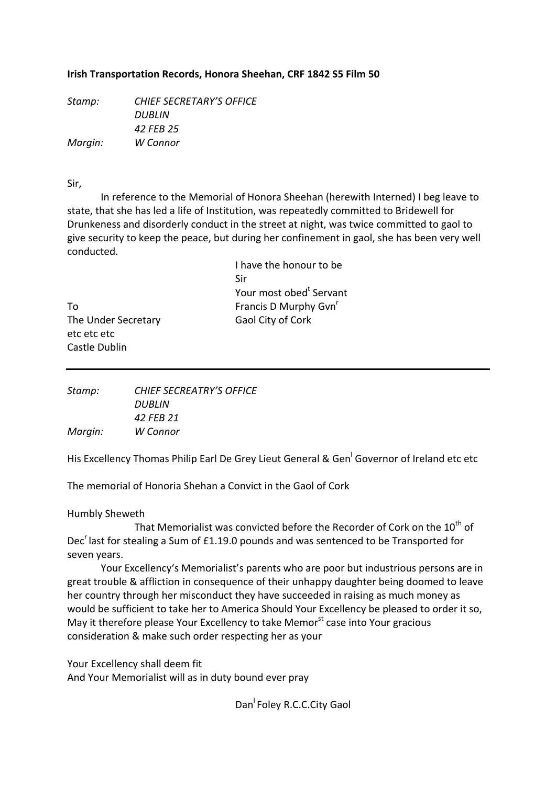## **Irish Transportation Records, Honora Sheehan, CRF 1842 S5 Film 50**

*Stamp: CHIEF SECRETARY'S OFFICE DUBLIN 42 FEB 25 Margin: W Connor*

Sir,

In reference to the Memorial of Honora Sheehan (herewith Interned) I beg leave to state, that she has led a life of Institution, was repeatedly committed to Bridewell for Drunkeness and disorderly conduct in the street at night, was twice committed to gaol to give security to keep the peace, but during her confinement in gaol, she has been very well conducted.

|                     | I have the honour to be             |
|---------------------|-------------------------------------|
|                     | Sir                                 |
|                     | Your most obed <sup>t</sup> Servant |
| Т٥                  | Francis D Murphy Gvn <sup>r</sup>   |
| The Under Secretary | Gaol City of Cork                   |
| etc etc etc         |                                     |

The Under Secretary etc etc etc Castle Dublin

| Stamp:  | CHIEF SECREATRY'S OFFICE |
|---------|--------------------------|
|         | DUBLIN                   |
|         | 42 FFB 21                |
| Margin: | W Connor                 |

His Excellency Thomas Philip Earl De Grey Lieut General & Gen<sup>l</sup> Governor of Ireland etc etc

The memorial of Honoria Shehan a Convict in the Gaol of Cork

Humbly Sheweth

That Memorialist was convicted before the Recorder of Cork on the  $10<sup>th</sup>$  of Dec<sup>r</sup> last for stealing a Sum of £1.19.0 pounds and was sentenced to be Transported for seven years.

Your Excellency's Memorialist's parents who are poor but industrious persons are in great trouble & affliction in consequence of their unhappy daughter being doomed to leave her country through her misconduct they have succeeded in raising as much money as would be sufficient to take her to America Should Your Excellency be pleased to order it so, May it therefore please Your Excellency to take Memor<sup>st</sup> case into Your gracious consideration & make such order respecting her as your

Your Excellency shall deem fit

And Your Memorialist will as in duty bound ever pray

Dan<sup>I</sup> Foley R.C.C.City Gaol